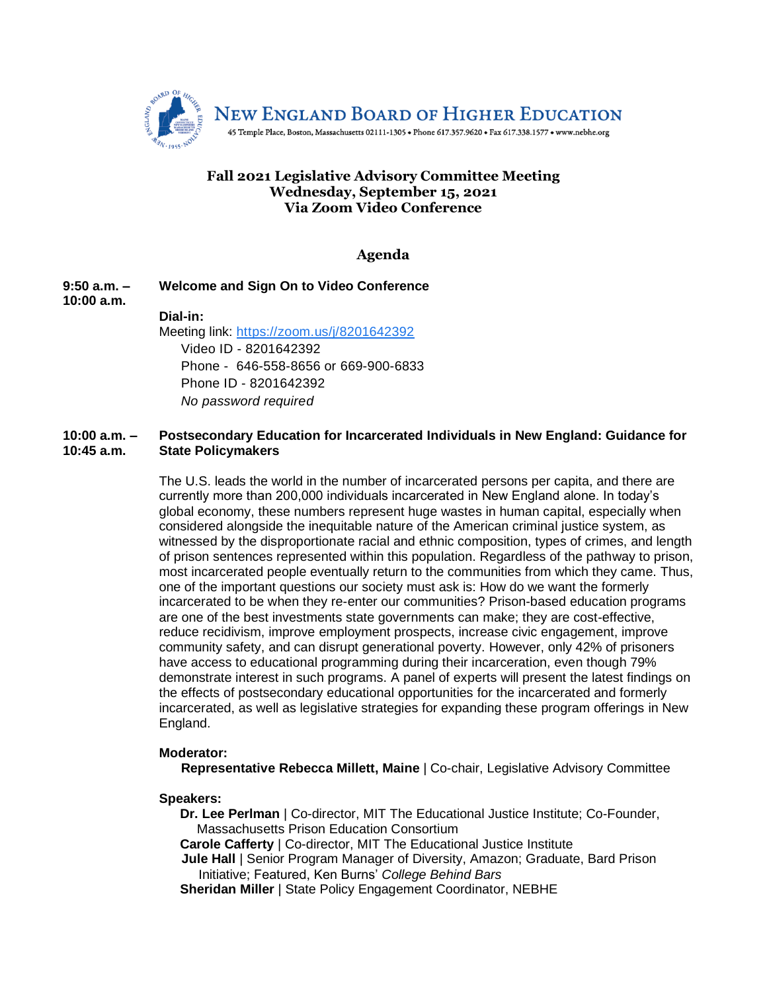

# **Fall 2021 Legislative Advisory Committee Meeting Wednesday, September 15, 2021 Via Zoom Video Conference**

# **Agenda**

**9:50 a.m. – 10:00 a.m. Welcome and Sign On to Video Conference Dial-in:** Meeting link: [https://zoom.us/j/8201642392](https://www.google.com/url?q=https://zoom.us/j/8201642392&sa=D&source=calendar&ust=1600088726379000&usg=AOvVaw1To2wqVcKlwSBkrjAj3h1g)

Video ID - 8201642392 Phone - 646-558-8656 or 669-900-6833 Phone ID - 8201642392 *No password required*

#### **10:00 a.m. – 10:45 a.m. Postsecondary Education for Incarcerated Individuals in New England: Guidance for State Policymakers**

The U.S. leads the world in the number of incarcerated persons per capita, and there are currently more than 200,000 individuals incarcerated in New England alone. In today's global economy, these numbers represent huge wastes in human capital, especially when considered alongside the inequitable nature of the American criminal justice system, as witnessed by the disproportionate racial and ethnic composition, types of crimes, and length of prison sentences represented within this population. Regardless of the pathway to prison, most incarcerated people eventually return to the communities from which they came. Thus, one of the important questions our society must ask is: How do we want the formerly incarcerated to be when they re-enter our communities? Prison-based education programs are one of the best investments state governments can make; they are cost-effective, reduce recidivism, improve employment prospects, increase civic engagement, improve community safety, and can disrupt generational poverty. However, only 42% of prisoners have access to educational programming during their incarceration, even though 79% demonstrate interest in such programs. A panel of experts will present the latest findings on the effects of postsecondary educational opportunities for the incarcerated and formerly incarcerated, as well as legislative strategies for expanding these program offerings in New England.

### **Moderator:**

**Representative Rebecca Millett, Maine** | Co-chair, Legislative Advisory Committee

**Speakers:**

- **Dr. Lee Perlman** | Co-director, MIT The Educational Justice Institute; Co-Founder, Massachusetts Prison Education Consortium
- **Carole Cafferty** | Co-director, MIT The Educational Justice Institute
- **Jule Hall** | Senior Program Manager of Diversity, Amazon; Graduate, Bard Prison Initiative; Featured, Ken Burns' *College Behind Bars*
- **Sheridan Miller** | State Policy Engagement Coordinator, NEBHE